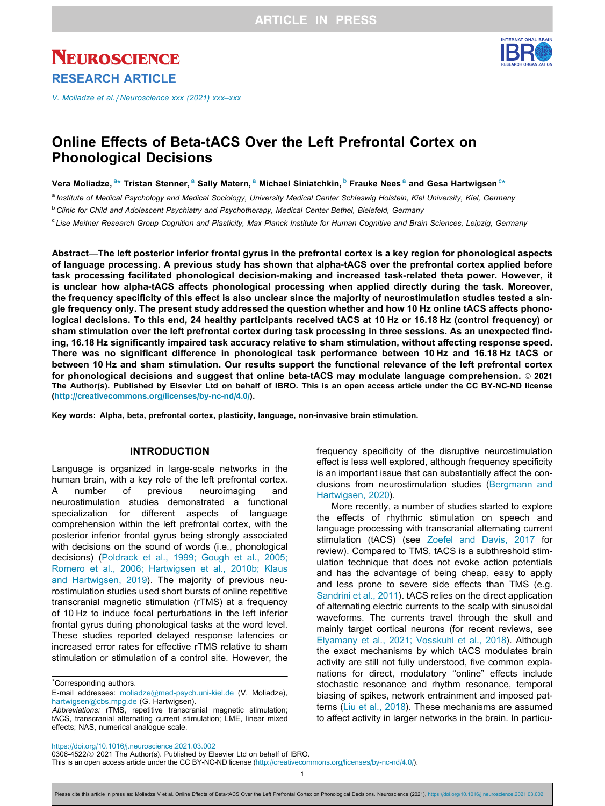# **NEUROSCIENCE** RESEARCH ARTICLE

[V. Moliadze et al. / Neuroscience xxx \(2021\) xxx–xxx](https://doi.org/10.1016/j.neuroscience.2021.03.002)

# Online Effects of Beta-tACS Over the Left Prefrontal Cortex on Phonological Decisions

Vera Moliadze, $^{\rm a}$ \* Tristan Stenner,  $^{\rm a}$  Sally Matern,  $^{\rm a}$  Michael Siniatchkin,  $^{\rm b}$  Frauke Nees  $^{\rm a}$  and Gesa Hartwigsen  $^{\rm c}$ \*

a Institute of Medical Psychology and Medical Sociology, University Medical Center Schleswig Holstein, Kiel University, Kiel, Germany

**b Clinic for Child and Adolescent Psychiatry and Psychotherapy, Medical Center Bethel, Bielefeld, Germany** 

<sup>c</sup> Lise Meitner Research Group Cognition and Plasticity, Max Planck Institute for Human Cognitive and Brain Sciences, Leipzig, Germany

Abstract—The left posterior inferior frontal gyrus in the prefrontal cortex is a key region for phonological aspects of language processing. A previous study has shown that alpha-tACS over the prefrontal cortex applied before task processing facilitated phonological decision-making and increased task-related theta power. However, it is unclear how alpha-tACS affects phonological processing when applied directly during the task. Moreover, the frequency specificity of this effect is also unclear since the majority of neurostimulation studies tested a single frequency only. The present study addressed the question whether and how 10 Hz online tACS affects phonological decisions. To this end, 24 healthy participants received tACS at 10 Hz or 16.18 Hz (control frequency) or sham stimulation over the left prefrontal cortex during task processing in three sessions. As an unexpected finding, 16.18 Hz significantly impaired task accuracy relative to sham stimulation, without affecting response speed. There was no significant difference in phonological task performance between 10 Hz and 16.18 Hz tACS or between 10 Hz and sham stimulation. Our results support the functional relevance of the left prefrontal cortex for phonological decisions and suggest that online beta-tACS may modulate language comprehension. © 2021 The Author(s). Published by Elsevier Ltd on behalf of IBRO. This is an open access article under the CC BY-NC-ND license ([http://creativecommons.org/licenses/by-nc-nd/4.0/\)](http://creativecommons.org/licenses/by-nc-nd/4.0/).

Key words: Alpha, beta, prefrontal cortex, plasticity, language, non-invasive brain stimulation.

# INTRODUCTION

Language is organized in large-scale networks in the human brain, with a key role of the left prefrontal cortex. A number of previous neuroimaging and neurostimulation studies demonstrated a functional specialization for different aspects of language comprehension within the left prefrontal cortex, with the posterior inferior frontal gyrus being strongly associated with decisions on the sound of words (i.e., phonological decisions) [\(Poldrack et al., 1999; Gough et al., 2005;](#page-7-0) [Romero et al., 2006; Hartwigsen et al., 2010b; Klaus](#page-7-0) [and Hartwigsen, 2019\)](#page-7-0). The majority of previous neurostimulation studies used short bursts of online repetitive transcranial magnetic stimulation (rTMS) at a frequency of 10 Hz to induce focal perturbations in the left inferior frontal gyrus during phonological tasks at the word level. These studies reported delayed response latencies or increased error rates for effective rTMS relative to sham stimulation or stimulation of a control site. However, the

\*Corresponding authors.

frequency specificity of the disruptive neurostimulation effect is less well explored, although frequency specificity is an important issue that can substantially affect the conclusions from neurostimulation studies ([Bergmann and](#page-6-0) [Hartwigsen, 2020\)](#page-6-0).

More recently, a number of studies started to explore the effects of rhythmic stimulation on speech and language processing with transcranial alternating current stimulation (tACS) (see [Zoefel and Davis, 2017](#page-7-0) for review). Compared to TMS, tACS is a subthreshold stimulation technique that does not evoke action potentials and has the advantage of being cheap, easy to apply and less prone to severe side effects than TMS (e.g. [Sandrini et al., 2011](#page-7-0)). tACS relies on the direct application of alternating electric currents to the scalp with sinusoidal waveforms. The currents travel through the skull and mainly target cortical neurons (for recent reviews, see [Elyamany et al., 2021; Vosskuhl et al., 2018\)](#page-7-0). Although the exact mechanisms by which tACS modulates brain activity are still not fully understood, five common explanations for direct, modulatory ''online" effects include stochastic resonance and rhythm resonance, temporal biasing of spikes, network entrainment and imposed patterns [\(Liu et al., 2018](#page-7-0)). These mechanisms are assumed to affect activity in larger networks in the brain. In particu-

<https://doi.org/10.1016/j.neuroscience.2021.03.002>

1



E-mail addresses: [moliadze@med-psych.uni-kiel.de](mailto:moliadze@med-psych.uni-kiel.de) (V. Moliadze), [hartwigsen@cbs.mpg.de](mailto:hartwigsen@cbs.mpg.de) (G. Hartwigsen).

Abbreviations: rTMS, repetitive transcranial magnetic stimulation; tACS, transcranial alternating current stimulation; LME, linear mixed effects; NAS, numerical analogue scale.

<sup>0306-4522/ 2021</sup> The Author(s). Published by Elsevier Ltd on behalf of IBRO. This is an open access article under the CC BY-NC-ND license (<http://creativecommons.org/licenses/by-nc-nd/4.0/>).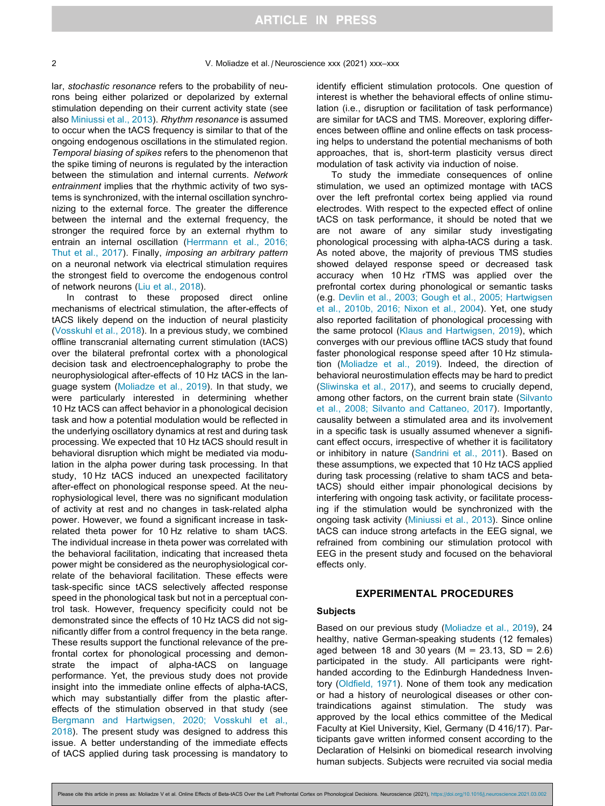lar, stochastic resonance refers to the probability of neurons being either polarized or depolarized by external stimulation depending on their current activity state (see also [Miniussi et al., 2013](#page-7-0)). Rhythm resonance is assumed to occur when the tACS frequency is similar to that of the ongoing endogenous oscillations in the stimulated region. Temporal biasing of spikes refers to the phenomenon that the spike timing of neurons is regulated by the interaction between the stimulation and internal currents. Network entrainment implies that the rhythmic activity of two systems is synchronized, with the internal oscillation synchronizing to the external force. The greater the difference between the internal and the external frequency, the stronger the required force by an external rhythm to entrain an internal oscillation ([Herrmann et al., 2016;](#page-7-0) [Thut et al., 2017\)](#page-7-0). Finally, imposing an arbitrary pattern on a neuronal network via electrical stimulation requires the strongest field to overcome the endogenous control of network neurons [\(Liu et al., 2018](#page-7-0)).

In contrast to these proposed direct online mechanisms of electrical stimulation, the after-effects of tACS likely depend on the induction of neural plasticity [\(Vosskuhl et al., 2018](#page-7-0)). In a previous study, we combined offline transcranial alternating current stimulation (tACS) over the bilateral prefrontal cortex with a phonological decision task and electroencephalography to probe the neurophysiological after-effects of 10 Hz tACS in the language system ([Moliadze et al., 2019\)](#page-7-0). In that study, we were particularly interested in determining whether 10 Hz tACS can affect behavior in a phonological decision task and how a potential modulation would be reflected in the underlying oscillatory dynamics at rest and during task processing. We expected that 10 Hz tACS should result in behavioral disruption which might be mediated via modulation in the alpha power during task processing. In that study, 10 Hz tACS induced an unexpected facilitatory after-effect on phonological response speed. At the neurophysiological level, there was no significant modulation of activity at rest and no changes in task-related alpha power. However, we found a significant increase in taskrelated theta power for 10 Hz relative to sham tACS. The individual increase in theta power was correlated with the behavioral facilitation, indicating that increased theta power might be considered as the neurophysiological correlate of the behavioral facilitation. These effects were task-specific since tACS selectively affected response speed in the phonological task but not in a perceptual control task. However, frequency specificity could not be demonstrated since the effects of 10 Hz tACS did not significantly differ from a control frequency in the beta range. These results support the functional relevance of the prefrontal cortex for phonological processing and demonstrate the impact of alpha-tACS on language performance. Yet, the previous study does not provide insight into the immediate online effects of alpha-tACS, which may substantially differ from the plastic aftereffects of the stimulation observed in that study (see [Bergmann and Hartwigsen, 2020; Vosskuhl et al.,](#page-6-0) [2018](#page-6-0)). The present study was designed to address this issue. A better understanding of the immediate effects of tACS applied during task processing is mandatory to

identify efficient stimulation protocols. One question of interest is whether the behavioral effects of online stimulation (i.e., disruption or facilitation of task performance) are similar for tACS and TMS. Moreover, exploring differences between offline and online effects on task processing helps to understand the potential mechanisms of both approaches, that is, short-term plasticity versus direct modulation of task activity via induction of noise.

To study the immediate consequences of online stimulation, we used an optimized montage with tACS over the left prefrontal cortex being applied via round electrodes. With respect to the expected effect of online tACS on task performance, it should be noted that we are not aware of any similar study investigating phonological processing with alpha-tACS during a task. As noted above, the majority of previous TMS studies showed delayed response speed or decreased task accuracy when 10 Hz rTMS was applied over the prefrontal cortex during phonological or semantic tasks (e.g. [Devlin et al., 2003; Gough et al., 2005; Hartwigsen](#page-6-0) [et al., 2010b, 2016; Nixon et al., 2004](#page-6-0)). Yet, one study also reported facilitation of phonological processing with the same protocol ([Klaus and Hartwigsen, 2019\)](#page-7-0), which converges with our previous offline tACS study that found faster phonological response speed after 10 Hz stimulation [\(Moliadze et al., 2019\)](#page-7-0). Indeed, the direction of behavioral neurostimulation effects may be hard to predict ([Sliwinska et al., 2017](#page-7-0)), and seems to crucially depend, among other factors, on the current brain state ([Silvanto](#page-7-0) [et al., 2008; Silvanto and Cattaneo, 2017\)](#page-7-0). Importantly, causality between a stimulated area and its involvement in a specific task is usually assumed whenever a significant effect occurs, irrespective of whether it is facilitatory or inhibitory in nature ([Sandrini et al., 2011](#page-7-0)). Based on these assumptions, we expected that 10 Hz tACS applied during task processing (relative to sham tACS and betatACS) should either impair phonological decisions by interfering with ongoing task activity, or facilitate processing if the stimulation would be synchronized with the ongoing task activity ([Miniussi et al., 2013\)](#page-7-0). Since online tACS can induce strong artefacts in the EEG signal, we refrained from combining our stimulation protocol with EEG in the present study and focused on the behavioral effects only.

## EXPERIMENTAL PROCEDURES

# **Subjects**

Based on our previous study ([Moliadze et al., 2019](#page-7-0)), 24 healthy, native German-speaking students (12 females) aged between 18 and 30 years ( $M = 23.13$ , SD = 2.6) participated in the study. All participants were righthanded according to the Edinburgh Handedness Inventory ([Oldfield, 1971](#page-7-0)). None of them took any medication or had a history of neurological diseases or other contraindications against stimulation. The study was approved by the local ethics committee of the Medical Faculty at Kiel University, Kiel, Germany (D 416/17). Participants gave written informed consent according to the Declaration of Helsinki on biomedical research involving human subjects. Subjects were recruited via social media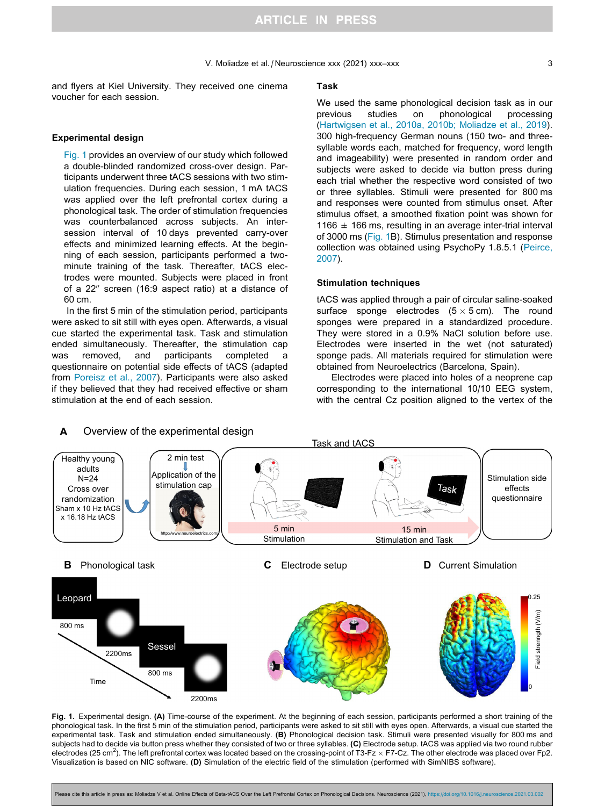<span id="page-2-0"></span>and flyers at Kiel University. They received one cinema voucher for each session.

# Experimental design

Fig. 1 provides an overview of our study which followed a double-blinded randomized cross-over design. Participants underwent three tACS sessions with two stimulation frequencies. During each session, 1 mA tACS was applied over the left prefrontal cortex during a phonological task. The order of stimulation frequencies was counterbalanced across subjects. An intersession interval of 10 days prevented carry-over effects and minimized learning effects. At the beginning of each session, participants performed a twominute training of the task. Thereafter, tACS electrodes were mounted. Subjects were placed in front of a  $22''$  screen (16:9 aspect ratio) at a distance of 60 cm.

In the first 5 min of the stimulation period, participants were asked to sit still with eyes open. Afterwards, a visual cue started the experimental task. Task and stimulation ended simultaneously. Thereafter, the stimulation cap was removed, and participants completed a questionnaire on potential side effects of tACS (adapted from [Poreisz et al., 2007\)](#page-7-0). Participants were also asked if they believed that they had received effective or sham stimulation at the end of each session.

#### Task

We used the same phonological decision task as in our<br>previous studies on phonological processing studies on phonological ([Hartwigsen et al., 2010a, 2010b; Moliadze et al., 2019\)](#page-7-0). 300 high-frequency German nouns (150 two- and threesyllable words each, matched for frequency, word length and imageability) were presented in random order and subjects were asked to decide via button press during each trial whether the respective word consisted of two or three syllables. Stimuli were presented for 800 ms and responses were counted from stimulus onset. After stimulus offset, a smoothed fixation point was shown for 1166  $\pm$  166 ms, resulting in an average inter-trial interval of 3000 ms (Fig. 1B). Stimulus presentation and response collection was obtained using PsychoPy 1.8.5.1 ([Peirce,](#page-7-0) [2007](#page-7-0)).

# Stimulation techniques

tACS was applied through a pair of circular saline-soaked surface sponge electrodes  $(5 \times 5 \text{ cm})$ . The round sponges were prepared in a standardized procedure. They were stored in a 0.9% NaCl solution before use. Electrodes were inserted in the wet (not saturated) sponge pads. All materials required for stimulation were obtained from Neuroelectrics (Barcelona, Spain).

Electrodes were placed into holes of a neoprene cap corresponding to the international 10/10 EEG system, with the central Cz position aligned to the vertex of the



Fig. 1. Experimental design. (A) Time-course of the experiment. At the beginning of each session, participants performed a short training of the phonological task. In the first 5 min of the stimulation period, participants were asked to sit still with eyes open. Afterwards, a visual cue started the experimental task. Task and stimulation ended simultaneously. (B) Phonological decision task. Stimuli were presented visually for 800 ms and subjects had to decide via button press whether they consisted of two or three syllables. (C) Electrode setup. tACS was applied via two round rubber electrodes (25 cm<sup>2</sup>). The left prefrontal cortex was located based on the crossing-point of T3-Fz  $\times$  F7-Cz. The other electrode was placed over Fp2. Visualization is based on NIC software. (D) Simulation of the electric field of the stimulation (performed with SimNIBS software).

e cite this article in press as: Moliadze V et al. Online Effects of Beta-tACS Over the Left Prefrontal Cortex on Phonological Decisions. Neuroscience (2021), <https://doi.org/10.1016/j.neuroscience.2021.03.002>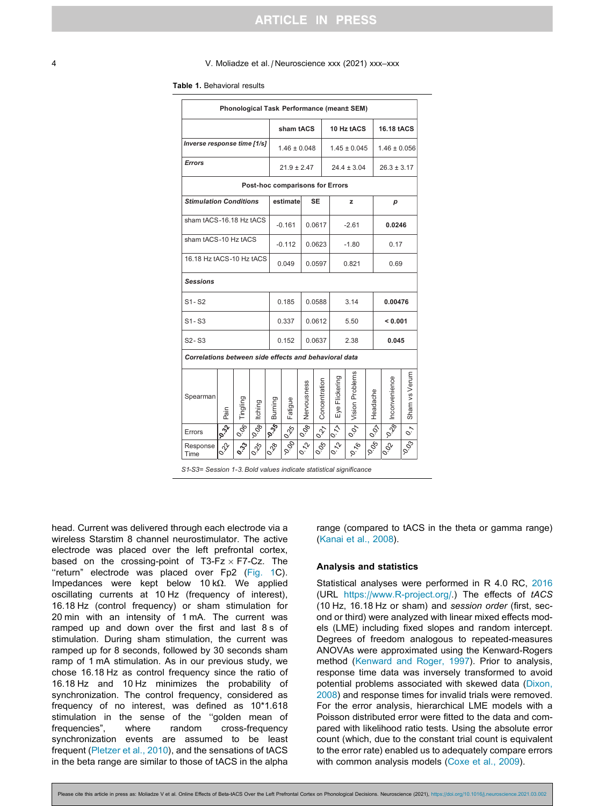#### <span id="page-3-0"></span>4 V. Moliadze et al. / Neuroscience xxx (2021) xxx–xxx

#### Table 1. Behavioral results

| Phonological Task Performance (mean± SEM)             |                                 |                     |                |                             |                              |                 |               |                                  |                                  |                         |                  |                                     |
|-------------------------------------------------------|---------------------------------|---------------------|----------------|-----------------------------|------------------------------|-----------------|---------------|----------------------------------|----------------------------------|-------------------------|------------------|-------------------------------------|
|                                                       |                                 |                     |                | sham tACS                   |                              |                 | 10 Hz tACS    |                                  |                                  | 16.18 tACS              |                  |                                     |
| Inverse response time [1/s]                           |                                 |                     |                |                             | $1.46 \pm 0.048$             |                 |               | $1.45 \pm 0.045$                 |                                  |                         | $1.46 \pm 0.056$ |                                     |
| <b>Errors</b>                                         |                                 |                     |                |                             | $21.9 \pm 2.47$              |                 |               | $24.4 \pm 3.04$                  |                                  |                         | $26.3 \pm 3.17$  |                                     |
| Post-hoc comparisons for Errors                       |                                 |                     |                |                             |                              |                 |               |                                  |                                  |                         |                  |                                     |
| <b>Stimulation Conditions</b>                         |                                 |                     |                | estimate                    |                              | <b>SE</b>       |               | z                                |                                  | р                       |                  |                                     |
| sham tACS-16.18 Hz tACS                               |                                 |                     |                |                             | $-0.161$<br>0.0617           |                 |               | $-2.61$                          |                                  |                         | 0.0246           |                                     |
| sham tACS-10 Hz tACS                                  |                                 |                     |                |                             | $-0.112$                     |                 | 0.0623        |                                  | $-1.80$                          |                         | 0.17             |                                     |
| 16.18 Hz tACS-10 Hz tACS                              |                                 |                     |                |                             | 0.049<br>0.0597              |                 |               | 0.821                            |                                  |                         | 0.69             |                                     |
| <b>Sessions</b>                                       |                                 |                     |                |                             |                              |                 |               |                                  |                                  |                         |                  |                                     |
| $S1 - S2$                                             |                                 |                     |                |                             | 0.185                        |                 | 0.0588        |                                  | 3.14                             |                         | 0.00476          |                                     |
| $S1 - S3$                                             |                                 |                     |                |                             | 0.337                        |                 | 0.0612        |                                  | 5.50                             |                         | < 0.001          |                                     |
| $S2 - S3$                                             |                                 |                     |                |                             | 0.152                        |                 | 0.0637        |                                  | 2.38                             |                         | 0.045            |                                     |
| Correlations between side effects and behavioral data |                                 |                     |                |                             |                              |                 |               |                                  |                                  |                         |                  |                                     |
| Spearman                                              | Pain                            | Tingling            | Itching        | Burning                     | Fatigue                      | Nervousness     | Concentration | Eye Flickering                   | Vision Problems                  | Headache                | Inconvenience    | Sham vs Verum                       |
| Errors                                                | $\frac{\partial}{\partial y}$   | $ O_{O_{\bigodot}}$ | $\frac{1}{ 8}$ | $\frac{1}{2}$               | $\bar{\delta}_{\rm s}$       | $10^{O}$        | $\phi$        | $\frac{ \tilde{Q}}{ \tilde{Q} }$ | $\overline{\rho_{\cal O}^{(2)}}$ | $-100$                  | $\frac{1}{2}$    | $\sim$                              |
| Response<br>Time                                      | $\circ \overline{\hat{\gamma}}$ | $\frac{1}{2}$       | 0.25           | $\circ \widetilde{\varphi}$ | $\delta^{\hat{O}}_{\hat{O}}$ | $Q_{\tilde{z}}$ | 0.06          | $\overline{\phi}$                | $\delta'_{\tilde{Q}}$            | $\frac{\delta}{\delta}$ | $\frac{1}{2}$    | $\bar{\delta}_{\bar{\cal O}^{(3)}}$ |

*S1-S3= Session 1-3. Bold values indicate statistical significance .*

head. Current was delivered through each electrode via a wireless Starstim 8 channel neurostimulator. The active electrode was placed over the left prefrontal cortex, based on the crossing-point of T3-Fz  $\times$  F7-Cz. The "return" electrode was placed over Fp2 [\(Fig. 1](#page-2-0)C). Impedances were kept below  $10 k\Omega$ . We applied oscillating currents at 10 Hz (frequency of interest), 16.18 Hz (control frequency) or sham stimulation for 20 min with an intensity of 1 mA. The current was ramped up and down over the first and last 8 s of stimulation. During sham stimulation, the current was ramped up for 8 seconds, followed by 30 seconds sham ramp of 1 mA stimulation. As in our previous study, we chose 16.18 Hz as control frequency since the ratio of 16.18 Hz and 10 Hz minimizes the probability of synchronization. The control frequency, considered as frequency of no interest, was defined as 10\*1.618 stimulation in the sense of the ''golden mean of frequencies", where random cross-frequency synchronization events are assumed to be least frequent ([Pletzer et al., 2010\)](#page-7-0), and the sensations of tACS in the beta range are similar to those of tACS in the alpha

range (compared to tACS in the theta or gamma range) ([Kanai et al., 2008\)](#page-7-0).

#### Analysis and statistics

Statistical analyses were performed in R 4.0 RC, [2016](#page-7-0) (URL [https://www.R-project.org/.](https://www.R-project.org/)) The effects of tACS (10 Hz, 16.18 Hz or sham) and session order (first, second or third) were analyzed with linear mixed effects models (LME) including fixed slopes and random intercept. Degrees of freedom analogous to repeated-measures ANOVAs were approximated using the Kenward-Rogers method ([Kenward and Roger, 1997\)](#page-7-0). Prior to analysis, response time data was inversely transformed to avoid potential problems associated with skewed data [\(Dixon,](#page-7-0) [2008](#page-7-0)) and response times for invalid trials were removed. For the error analysis, hierarchical LME models with a Poisson distributed error were fitted to the data and compared with likelihood ratio tests. Using the absolute error count (which, due to the constant trial count is equivalent to the error rate) enabled us to adequately compare errors with common analysis models [\(Coxe et al., 2009\)](#page-6-0).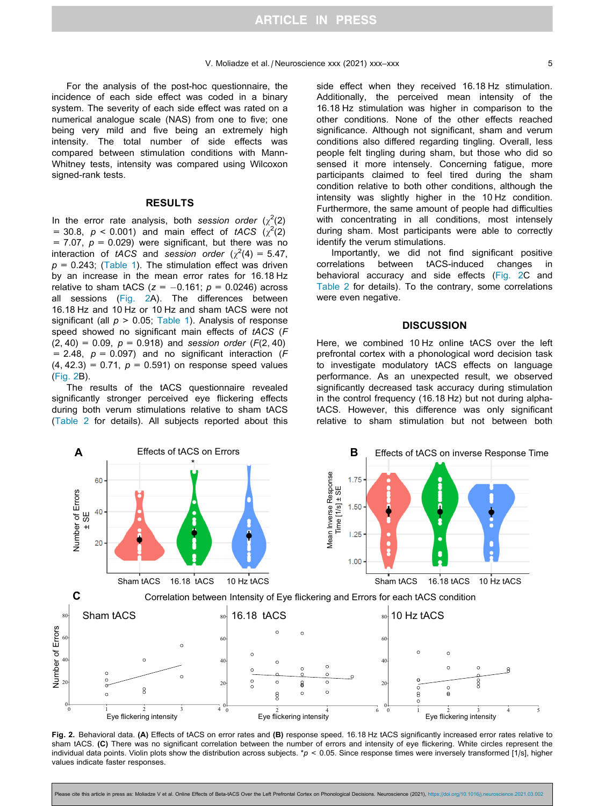For the analysis of the post-hoc questionnaire, the incidence of each side effect was coded in a binary system. The severity of each side effect was rated on a numerical analogue scale (NAS) from one to five; one being very mild and five being an extremely high intensity. The total number of side effects was compared between stimulation conditions with Mann-Whitney tests, intensity was compared using Wilcoxon signed-rank tests.

## RESULTS

In the error rate analysis, both session order  $(\chi^2(2))$ = 30.8,  $p < 0.001$ ) and main effect of tACS ( $\chi^2(2)$ ) = 7.07,  $p = 0.029$ ) were significant, but there was no interaction of tACS and session order  $(\chi^2(4) = 5.47,$  $p = 0.243$ ; [\(Table 1](#page-3-0)). The stimulation effect was driven by an increase in the mean error rates for 16.18 Hz relative to sham tACS ( $z = -0.161$ ;  $p = 0.0246$ ) across all sessions (Fig. 2A). The differences between 16.18 Hz and 10 Hz or 10 Hz and sham tACS were not significant (all  $p > 0.05$ ; [Table 1\)](#page-3-0). Analysis of response speed showed no significant main effects of tACS (F  $(2, 40) = 0.09$ ,  $p = 0.918$ ) and session order (F(2, 40) = 2.48,  $p = 0.097$ ) and no significant interaction (F  $(4, 42.3) = 0.71$ ,  $p = 0.591$ ) on response speed values (Fig. 2B).

The results of the tACS questionnaire revealed significantly stronger perceived eye flickering effects during both verum stimulations relative to sham tACS [\(Table 2](#page-5-0) for details). All subjects reported about this side effect when they received 16.18 Hz stimulation. Additionally, the perceived mean intensity of the 16.18 Hz stimulation was higher in comparison to the other conditions. None of the other effects reached significance. Although not significant, sham and verum conditions also differed regarding tingling. Overall, less people felt tingling during sham, but those who did so sensed it more intensely. Concerning fatigue, more participants claimed to feel tired during the sham condition relative to both other conditions, although the intensity was slightly higher in the 10 Hz condition. Furthermore, the same amount of people had difficulties with concentrating in all conditions, most intensely during sham. Most participants were able to correctly identify the verum stimulations.

Importantly, we did not find significant positive correlations between tACS-induced changes in behavioral accuracy and side effects (Fig. 2C and [Table 2](#page-5-0) for details). To the contrary, some correlations were even negative.

# **DISCUSSION**

Here, we combined 10 Hz online tACS over the left prefrontal cortex with a phonological word decision task to investigate modulatory tACS effects on language performance. As an unexpected result, we observed significantly decreased task accuracy during stimulation in the control frequency (16.18 Hz) but not during alphatACS. However, this difference was only significant relative to sham stimulation but not between both



Fig. 2. Behavioral data. (A) Effects of tACS on error rates and (B) response speed. 16.18 Hz tACS significantly increased error rates relative to sham tACS. (C) There was no significant correlation between the number of errors and intensity of eye flickering. White circles represent the individual data points. Violin plots show the distribution across subjects. \*p < 0.05. Since response times were inversely transformed [1/s], higher values indicate faster responses.

e cite this article in press as: Moliadze V et al. Online Effects of Beta-tACS Over the Left Prefrontal Cortex on Phonological Decisions. Neuroscience (2021), <https://doi.org/10.1016/j.neuroscience.2021.03.002>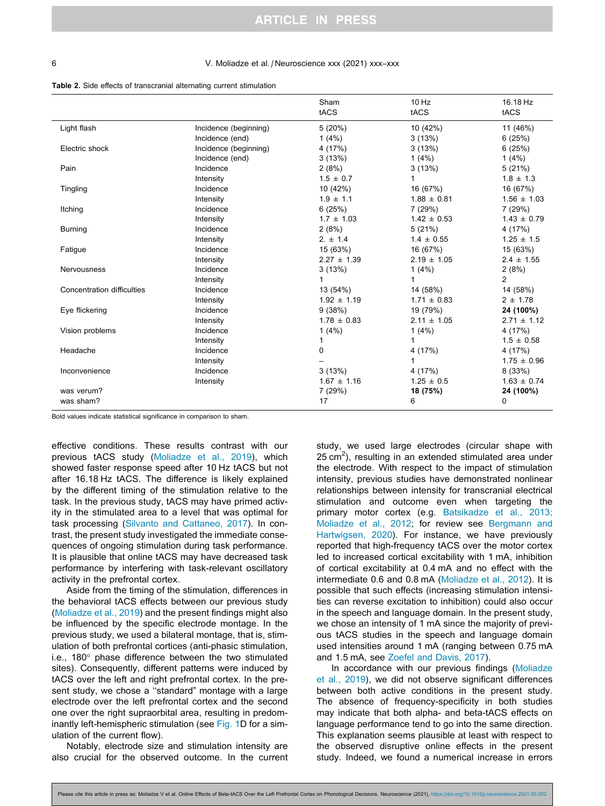#### <span id="page-5-0"></span>6 V. Moliadze et al. / Neuroscience xxx (2021) xxx–xxx

Table 2. Side effects of transcranial alternating current stimulation

|                            |                       | Sham<br>tACS    | 10 Hz<br>tACS   | 16.18 Hz<br>tACS |
|----------------------------|-----------------------|-----------------|-----------------|------------------|
| Light flash                | Incidence (beginning) | 5(20%)          | 10 (42%)        | 11 (46%)         |
|                            | Incidence (end)       | 1(4%)           | 3(13%)          | 6(25%)           |
| Electric shock             | Incidence (beginning) | 4 (17%)         | 3(13%)          | 6(25%)           |
|                            | Incidence (end)       | 3(13%)          | 1(4%)           | 1(4%)            |
| Pain                       | Incidence             | 2(8%)           | 3(13%)          | 5(21%)           |
|                            | Intensity             | $1.5 \pm 0.7$   |                 | $1.8 \pm 1.3$    |
| Tingling                   | Incidence             | 10 (42%)        | 16 (67%)        | 16 (67%)         |
|                            | Intensity             | $1.9 \pm 1.1$   | $1.88 \pm 0.81$ | $1.56 \pm 1.03$  |
| Itching                    | Incidence             | 6(25%)          | 7(29%)          | 7 (29%)          |
|                            | Intensity             | $1.7 \pm 1.03$  | $1.42 \pm 0.53$ | $1.43 \pm 0.79$  |
| <b>Burning</b>             | Incidence             | 2(8%)           | 5(21%)          | 4 (17%)          |
|                            | Intensity             | $2. \pm 1.4$    | $1.4 \pm 0.55$  | $1.25 \pm 1.5$   |
| Fatigue                    | Incidence             | 15 (63%)        | 16 (67%)        | 15 (63%)         |
|                            | Intensity             | $2.27 \pm 1.39$ | $2.19 \pm 1.05$ | $2.4 \pm 1.55$   |
| <b>Nervousness</b>         | Incidence             | 3(13%)          | 1(4%)           | 2(8%)            |
|                            | Intensity             | 1               | 1               | $\overline{c}$   |
| Concentration difficulties | Incidence             | 13 (54%)        | 14 (58%)        | 14 (58%)         |
|                            | Intensity             | $1.92 \pm 1.19$ | $1.71 \pm 0.83$ | $2 \pm 1.78$     |
| Eye flickering             | Incidence             | 9(38%)          | 19 (79%)        | 24 (100%)        |
|                            | Intensity             | $1.78 \pm 0.83$ | $2.11 \pm 1.05$ | $2.71 \pm 1.12$  |
| Vision problems            | Incidence             | 1(4%)           | 1(4%)           | 4 (17%)          |
|                            | Intensity             | 1               | 1               | $1.5 \pm 0.58$   |
| Headache                   | Incidence             | 0               | 4 (17%)         | 4 (17%)          |
|                            | Intensity             |                 |                 | $1.75 \pm 0.96$  |
| Inconvenience              | Incidence             | 3(13%)          | 4 (17%)         | 8 (33%)          |
|                            | Intensity             | $1.67 \pm 1.16$ | $1.25 \pm 0.5$  | $1.63 \pm 0.74$  |
| was verum?                 |                       | 7(29%)          | 18 (75%)        | 24 (100%)        |
| was sham?                  |                       | 17              | 6               | $\mathbf 0$      |

Bold values indicate statistical significance in comparison to sham.

effective conditions. These results contrast with our previous tACS study ([Moliadze et al., 2019\)](#page-7-0), which showed faster response speed after 10 Hz tACS but not after 16.18 Hz tACS. The difference is likely explained by the different timing of the stimulation relative to the task. In the previous study, tACS may have primed activity in the stimulated area to a level that was optimal for task processing ([Silvanto and Cattaneo, 2017](#page-7-0)). In contrast, the present study investigated the immediate consequences of ongoing stimulation during task performance. It is plausible that online tACS may have decreased task performance by interfering with task-relevant oscillatory activity in the prefrontal cortex.

Aside from the timing of the stimulation, differences in the behavioral tACS effects between our previous study [\(Moliadze et al., 2019\)](#page-7-0) and the present findings might also be influenced by the specific electrode montage. In the previous study, we used a bilateral montage, that is, stimulation of both prefrontal cortices (anti-phasic stimulation, i.e.,  $180^\circ$  phase difference between the two stimulated sites). Consequently, different patterns were induced by tACS over the left and right prefrontal cortex. In the present study, we chose a ''standard" montage with a large electrode over the left prefrontal cortex and the second one over the right supraorbital area, resulting in predominantly left-hemispheric stimulation (see [Fig. 1](#page-2-0)D for a simulation of the current flow).

Notably, electrode size and stimulation intensity are also crucial for the observed outcome. In the current study, we used large electrodes (circular shape with  $25 \text{ cm}^2$ ), resulting in an extended stimulated area under the electrode. With respect to the impact of stimulation intensity, previous studies have demonstrated nonlinear relationships between intensity for transcranial electrical stimulation and outcome even when targeting the primary motor cortex (e.g. [Batsikadze et al., 2013;](#page-6-0) [Moliadze et al., 2012](#page-6-0); for review see [Bergmann and](#page-6-0) [Hartwigsen, 2020](#page-6-0)). For instance, we have previously reported that high-frequency tACS over the motor cortex led to increased cortical excitability with 1 mA, inhibition of cortical excitability at 0.4 mA and no effect with the intermediate 0.6 and 0.8 mA [\(Moliadze et al., 2012\)](#page-7-0). It is possible that such effects (increasing stimulation intensities can reverse excitation to inhibition) could also occur in the speech and language domain. In the present study, we chose an intensity of 1 mA since the majority of previous tACS studies in the speech and language domain used intensities around 1 mA (ranging between 0.75 mA and 1.5 mA, see [Zoefel and Davis, 2017\)](#page-7-0).

In accordance with our previous findings ([Moliadze](#page-7-0) [et al., 2019](#page-7-0)), we did not observe significant differences between both active conditions in the present study. The absence of frequency-specificity in both studies may indicate that both alpha- and beta-tACS effects on language performance tend to go into the same direction. This explanation seems plausible at least with respect to the observed disruptive online effects in the present study. Indeed, we found a numerical increase in errors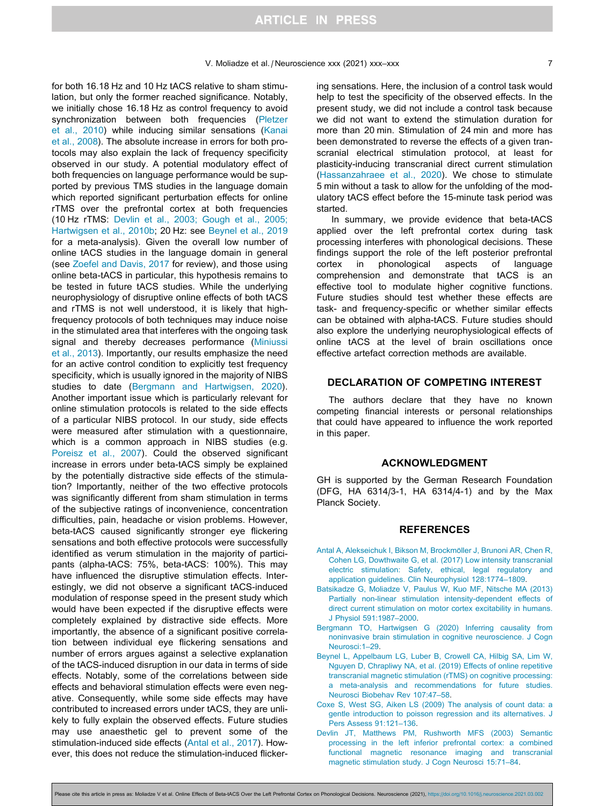<span id="page-6-0"></span>for both 16.18 Hz and 10 Hz tACS relative to sham stimulation, but only the former reached significance. Notably, we initially chose 16.18 Hz as control frequency to avoid synchronization between both frequencies ([Pletzer](#page-7-0) [et al., 2010\)](#page-7-0) while inducing similar sensations [\(Kanai](#page-7-0) [et al., 2008](#page-7-0)). The absolute increase in errors for both protocols may also explain the lack of frequency specificity observed in our study. A potential modulatory effect of both frequencies on language performance would be supported by previous TMS studies in the language domain which reported significant perturbation effects for online rTMS over the prefrontal cortex at both frequencies (10 Hz rTMS: Devlin et al., 2003; Gough et al., 2005; Hartwigsen et al., 2010b; 20 Hz: see Beynel et al., 2019 for a meta-analysis). Given the overall low number of online tACS studies in the language domain in general (see [Zoefel and Davis, 2017](#page-7-0) for review), and those using online beta-tACS in particular, this hypothesis remains to be tested in future tACS studies. While the underlying neurophysiology of disruptive online effects of both tACS and rTMS is not well understood, it is likely that highfrequency protocols of both techniques may induce noise in the stimulated area that interferes with the ongoing task signal and thereby decreases performance [\(Miniussi](#page-7-0) [et al., 2013](#page-7-0)). Importantly, our results emphasize the need for an active control condition to explicitly test frequency specificity, which is usually ignored in the majority of NIBS studies to date (Bergmann and Hartwigsen, 2020). Another important issue which is particularly relevant for online stimulation protocols is related to the side effects of a particular NIBS protocol. In our study, side effects were measured after stimulation with a questionnaire, which is a common approach in NIBS studies (e.g. [Poreisz et al., 2007](#page-7-0)). Could the observed significant increase in errors under beta-tACS simply be explained by the potentially distractive side effects of the stimulation? Importantly, neither of the two effective protocols was significantly different from sham stimulation in terms of the subjective ratings of inconvenience, concentration difficulties, pain, headache or vision problems. However, beta-tACS caused significantly stronger eye flickering sensations and both effective protocols were successfully identified as verum stimulation in the majority of participants (alpha-tACS: 75%, beta-tACS: 100%). This may have influenced the disruptive stimulation effects. Interestingly, we did not observe a significant tACS-induced modulation of response speed in the present study which would have been expected if the disruptive effects were completely explained by distractive side effects. More importantly, the absence of a significant positive correlation between individual eye flickering sensations and number of errors argues against a selective explanation of the tACS-induced disruption in our data in terms of side effects. Notably, some of the correlations between side effects and behavioral stimulation effects were even negative. Consequently, while some side effects may have contributed to increased errors under tACS, they are unlikely to fully explain the observed effects. Future studies may use anaesthetic gel to prevent some of the stimulation-induced side effects (Antal et al., 2017). However, this does not reduce the stimulation-induced flickering sensations. Here, the inclusion of a control task would help to test the specificity of the observed effects. In the present study, we did not include a control task because we did not want to extend the stimulation duration for more than 20 min. Stimulation of 24 min and more has been demonstrated to reverse the effects of a given transcranial electrical stimulation protocol, at least for plasticity-inducing transcranial direct current stimulation ([Hassanzahraee et al., 2020](#page-7-0)). We chose to stimulate 5 min without a task to allow for the unfolding of the modulatory tACS effect before the 15-minute task period was started.

In summary, we provide evidence that beta-tACS applied over the left prefrontal cortex during task processing interferes with phonological decisions. These findings support the role of the left posterior prefrontal cortex in phonological aspects of language comprehension and demonstrate that tACS is an effective tool to modulate higher cognitive functions. Future studies should test whether these effects are task- and frequency-specific or whether similar effects can be obtained with alpha-tACS. Future studies should also explore the underlying neurophysiological effects of online tACS at the level of brain oscillations once effective artefact correction methods are available.

# DECLARATION OF COMPETING INTEREST

The authors declare that they have no known competing financial interests or personal relationships that could have appeared to influence the work reported in this paper.

### ACKNOWLEDGMENT

GH is supported by the German Research Foundation (DFG, HA 6314/3-1, HA 6314/4-1) and by the Max Planck Society.

# REFERENCES

- Antal A, Alekseichuk I, Bikson M, Brockmöller J, Brunoni AR, Chen R, [Cohen LG, Dowthwaite G, et al. \(2017\) Low intensity transcranial](http://refhub.elsevier.com/S0306-4522(21)00118-4/h0005) [electric stimulation: Safety, ethical, legal regulatory and](http://refhub.elsevier.com/S0306-4522(21)00118-4/h0005) [application guidelines. Clin Neurophysiol 128:1774–1809](http://refhub.elsevier.com/S0306-4522(21)00118-4/h0005).
- [Batsikadze G, Moliadze V, Paulus W, Kuo MF, Nitsche MA \(2013\)](http://refhub.elsevier.com/S0306-4522(21)00118-4/h0010) [Partially non-linear stimulation intensity-dependent effects of](http://refhub.elsevier.com/S0306-4522(21)00118-4/h0010) [direct current stimulation on motor cortex excitability in humans.](http://refhub.elsevier.com/S0306-4522(21)00118-4/h0010) [J Physiol 591:1987–2000](http://refhub.elsevier.com/S0306-4522(21)00118-4/h0010).
- [Bergmann TO, Hartwigsen G \(2020\) Inferring causality from](http://refhub.elsevier.com/S0306-4522(21)00118-4/h0015) [noninvasive brain stimulation in cognitive neuroscience. J Cogn](http://refhub.elsevier.com/S0306-4522(21)00118-4/h0015) [Neurosci:1–29.](http://refhub.elsevier.com/S0306-4522(21)00118-4/h0015)
- [Beynel L, Appelbaum LG, Luber B, Crowell CA, Hilbig SA, Lim W,](http://refhub.elsevier.com/S0306-4522(21)00118-4/h0020) [Nguyen D, Chrapliwy NA, et al. \(2019\) Effects of online repetitive](http://refhub.elsevier.com/S0306-4522(21)00118-4/h0020) [transcranial magnetic stimulation \(rTMS\) on cognitive processing:](http://refhub.elsevier.com/S0306-4522(21)00118-4/h0020) [a meta-analysis and recommendations for future studies.](http://refhub.elsevier.com/S0306-4522(21)00118-4/h0020) [Neurosci Biobehav Rev 107:47–58.](http://refhub.elsevier.com/S0306-4522(21)00118-4/h0020)
- [Coxe S, West SG, Aiken LS \(2009\) The analysis of count data: a](http://refhub.elsevier.com/S0306-4522(21)00118-4/h0025) [gentle introduction to poisson regression and its alternatives. J](http://refhub.elsevier.com/S0306-4522(21)00118-4/h0025) [Pers Assess 91:121–136](http://refhub.elsevier.com/S0306-4522(21)00118-4/h0025).
- [Devlin JT, Matthews PM, Rushworth MFS \(2003\) Semantic](http://refhub.elsevier.com/S0306-4522(21)00118-4/h0030) [processing in the left inferior prefrontal cortex: a combined](http://refhub.elsevier.com/S0306-4522(21)00118-4/h0030) [functional magnetic resonance imaging and transcranial](http://refhub.elsevier.com/S0306-4522(21)00118-4/h0030) [magnetic stimulation study. J Cogn Neurosci 15:71–84.](http://refhub.elsevier.com/S0306-4522(21)00118-4/h0030)

Please cite this article in press as: Moliadze V et al. Online Effects of Beta-tACS Over the Left Prefrontal Cortex on Phonological Decisions. Neuroscience (2021), <https://doi.org/10.1016/j.neuroscience.2021.03.002>